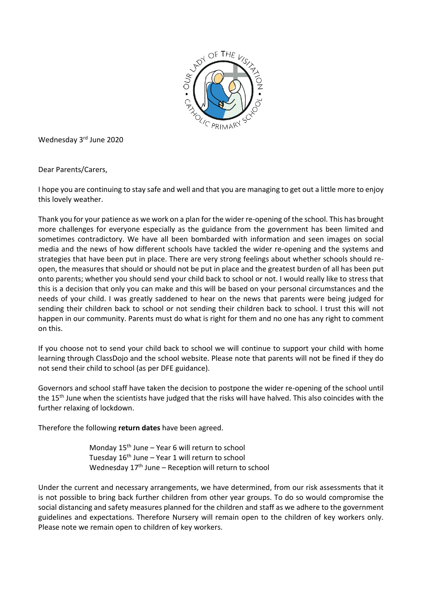

Wednesday 3rd June 2020

Dear Parents/Carers,

I hope you are continuing to stay safe and well and that you are managing to get out a little more to enjoy this lovely weather.

Thank you for your patience as we work on a plan for the wider re-opening of the school. This has brought more challenges for everyone especially as the guidance from the government has been limited and sometimes contradictory. We have all been bombarded with information and seen images on social media and the news of how different schools have tackled the wider re-opening and the systems and strategies that have been put in place. There are very strong feelings about whether schools should reopen, the measures that should or should not be put in place and the greatest burden of all has been put onto parents; whether you should send your child back to school or not. I would really like to stress that this is a decision that only you can make and this will be based on your personal circumstances and the needs of your child. I was greatly saddened to hear on the news that parents were being judged for sending their children back to school or not sending their children back to school. I trust this will not happen in our community. Parents must do what is right for them and no one has any right to comment on this.

If you choose not to send your child back to school we will continue to support your child with home learning through ClassDojo and the school website. Please note that parents will not be fined if they do not send their child to school (as per DFE guidance).

Governors and school staff have taken the decision to postpone the wider re-opening of the school until the 15<sup>th</sup> June when the scientists have judged that the risks will have halved. This also coincides with the further relaxing of lockdown.

Therefore the following **return dates** have been agreed.

Monday  $15<sup>th</sup>$  June – Year 6 will return to school Tuesday  $16<sup>th</sup>$  June – Year 1 will return to school Wednesday  $17<sup>th</sup>$  June – Reception will return to school

Under the current and necessary arrangements, we have determined, from our risk assessments that it is not possible to bring back further children from other year groups. To do so would compromise the social distancing and safety measures planned for the children and staff as we adhere to the government guidelines and expectations. Therefore Nursery will remain open to the children of key workers only. Please note we remain open to children of key workers.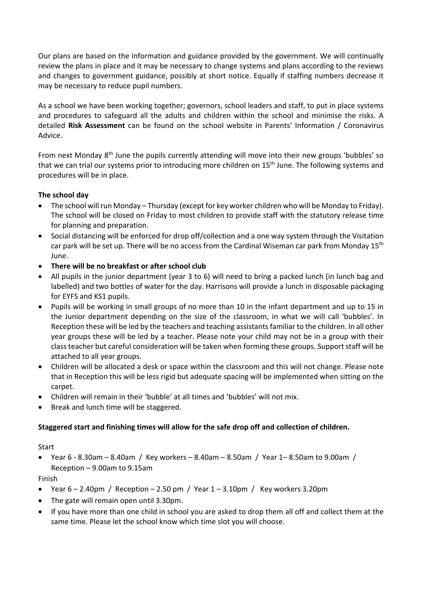Our plans are based on the information and guidance provided by the government. We will continually review the plans in place and it may be necessary to change systems and plans according to the reviews and changes to government guidance, possibly at short notice. Equally if staffing numbers decrease it may be necessary to reduce pupil numbers.

As a school we have been working together; governors, school leaders and staff, to put in place systems and procedures to safeguard all the adults and children within the school and minimise the risks. A detailed **Risk Assessment** can be found on the school website in Parents' Information / Coronavirus Advice.

From next Monday 8<sup>th</sup> June the pupils currently attending will move into their new groups 'bubbles' so that we can trial our systems prior to introducing more children on 15<sup>th</sup> June. The following systems and procedures will be in place.

# **The school day**

- The school will run Monday Thursday (except for key worker children who will be Monday to Friday). The school will be closed on Friday to most children to provide staff with the statutory release time for planning and preparation.
- Social distancing will be enforced for drop off/collection and a one way system through the Visitation car park will be set up. There will be no access from the Cardinal Wiseman car park from Monday 15<sup>th</sup> June.
- **There will be no breakfast or after school club**
- All pupils in the junior department (year 3 to 6) will need to bring a packed lunch (in lunch bag and labelled) and two bottles of water for the day. Harrisons will provide a lunch in disposable packaging for EYFS and KS1 pupils.
- Pupils will be working in small groups of no more than 10 in the infant department and up to 15 in the Junior department depending on the size of the classroom, in what we will call 'bubbles'. In Reception these will be led by the teachers and teaching assistants familiar to the children. In all other year groups these will be led by a teacher. Please note your child may not be in a group with their class teacher but careful consideration will be taken when forming these groups. Support staff will be attached to all year groups.
- Children will be allocated a desk or space within the classroom and this will not change. Please note that in Reception this will be less rigid but adequate spacing will be implemented when sitting on the carpet.
- Children will remain in their 'bubble' at all times and 'bubbles' will not mix.
- Break and lunch time will be staggered.

#### **Staggered start and finishing times will allow for the safe drop off and collection of children.**

**Start** 

• Year 6 - 8.30am – 8.40am / Key workers – 8.40am – 8.50am / Year 1– 8.50am to 9.00am / Reception – 9.00am to 9.15am

Finish

- Year  $6 2.40$ pm / Reception 2.50 pm / Year  $1 3.10$ pm / Key workers 3.20pm
- The gate will remain open until 3.30pm.
- If you have more than one child in school you are asked to drop them all off and collect them at the same time. Please let the school know which time slot you will choose.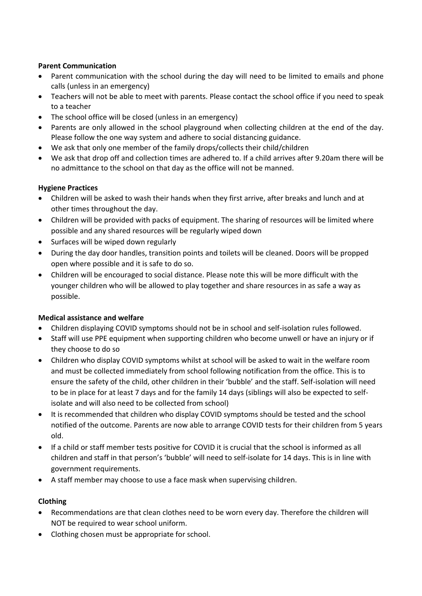# **Parent Communication**

- Parent communication with the school during the day will need to be limited to emails and phone calls (unless in an emergency)
- Teachers will not be able to meet with parents. Please contact the school office if you need to speak to a teacher
- The school office will be closed (unless in an emergency)
- Parents are only allowed in the school playground when collecting children at the end of the day. Please follow the one way system and adhere to social distancing guidance.
- We ask that only one member of the family drops/collects their child/children
- We ask that drop off and collection times are adhered to. If a child arrives after 9.20am there will be no admittance to the school on that day as the office will not be manned.

### **Hygiene Practices**

- Children will be asked to wash their hands when they first arrive, after breaks and lunch and at other times throughout the day.
- Children will be provided with packs of equipment. The sharing of resources will be limited where possible and any shared resources will be regularly wiped down
- Surfaces will be wiped down regularly
- During the day door handles, transition points and toilets will be cleaned. Doors will be propped open where possible and it is safe to do so.
- Children will be encouraged to social distance. Please note this will be more difficult with the younger children who will be allowed to play together and share resources in as safe a way as possible.

# **Medical assistance and welfare**

- Children displaying COVID symptoms should not be in school and self-isolation rules followed.
- Staff will use PPE equipment when supporting children who become unwell or have an injury or if they choose to do so
- Children who display COVID symptoms whilst at school will be asked to wait in the welfare room and must be collected immediately from school following notification from the office. This is to ensure the safety of the child, other children in their 'bubble' and the staff. Self-isolation will need to be in place for at least 7 days and for the family 14 days (siblings will also be expected to selfisolate and will also need to be collected from school)
- It is recommended that children who display COVID symptoms should be tested and the school notified of the outcome. Parents are now able to arrange COVID tests for their children from 5 years old.
- If a child or staff member tests positive for COVID it is crucial that the school is informed as all children and staff in that person's 'bubble' will need to self-isolate for 14 days. This is in line with government requirements.
- A staff member may choose to use a face mask when supervising children.

# **Clothing**

- Recommendations are that clean clothes need to be worn every day. Therefore the children will NOT be required to wear school uniform.
- Clothing chosen must be appropriate for school.